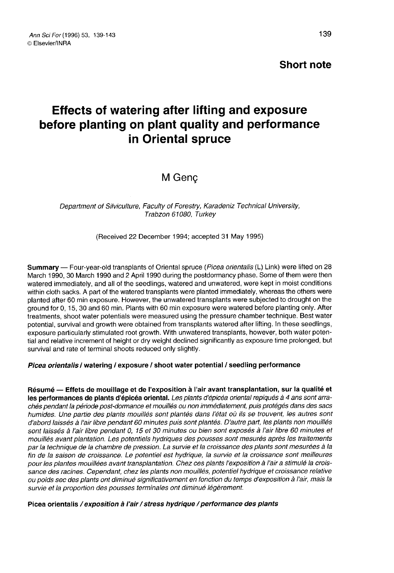# Short note

# Effects of watering after lifting and exposure before planting on plant quality and performance in Oriental spruce

# M Genç

Department of Silviculture, Faculty of Forestry, Karadeniz Technical University, Trabzon 61080, Turkey

(Received 22 December 1994; accepted 31 May 1995)

Summary — Four-year-old transplants of Oriental spruce (Picea orientalis (L) Link) were lifted on 28 March 1990, 30 March 1990 and 2 April 1990 during the postdormancy phase. Some of them were then watered immediately, and all of the seedlings, watered and unwatered, were kept in moist conditions within cloth sacks. A part of the watered transplants were planted immediately, whereas the others were planted after 60 min exposure. However, the unwatered transplants were subjected to drought on the ground for 0, 15, 30 and 60 min. Plants with 60 min exposure were watered before planting only. After treatments, shoot water potentials were measured using the pressure chamber technique. Best water potential, survival and growth were obtained from transplants watered after lifting. In these seedlings, exposure particularly stimulated root growth. With unwatered transplants, however, both water potential and relative increment of height or dry weight declined significantly as exposure time prolonged, but survival and rate of terminal shoots reduced only slightly.

### Picea orientalis / watering / exposure / shoot water potential / seedling performance

Résumé — Effets de mouillage et de l'exposition à l'air avant transplantation, sur la qualité et les performances de plants d'épicéa oriental. Les plants d'épicéa oriental repiqués à 4 ans sont arrachés pendant la période post-dormance et mouillés ou non immédiatement, puis protégés dans des sacs humides. Une partie des plants mouillés sont plantés dans l'état où ils se trouvent, les autres sont d'abord laissés à l'air libre pendant 60 minutes puis sont plantés. D'autre part, les plants non mouillés sont laissés à l'air libre pendant 0, 15 et 30 minutes ou bien sont exposés à l'air libre 60 minutes et mouillés avant plantation. Les potentiels hydriques des pousses sont mesurés après les traitements par la technique de la chambre de pression. La survie et la croissance des plants sont mesurées à la fin de la saison de croissance. Le potentiel est hydrique, la survie et la croissance sont meilleures pour les plantes mouillées avant transplantation. Chez ces plants l'exposition à l'air a stimulé la croissance des racines. Cependant, chez les plants non mouillés, potentiel hydrique et croissance relative ou poids sec des plants ont diminué significativement en fonction du temps d'exposition à l'air, mais la survie et la proportion des pousses terminales ont diminué légèrement.

#### Picea orientalis / exposition à l'air / stress hydrique / performance des plants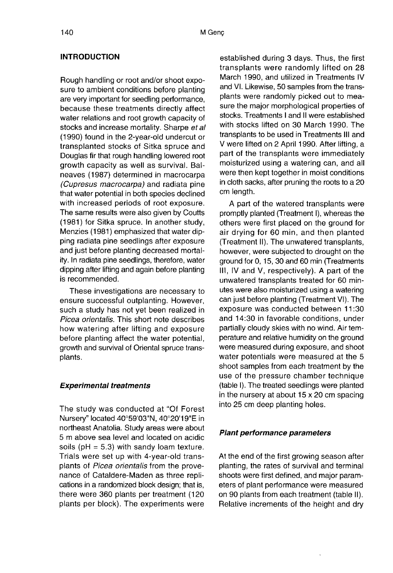# **INTRODUCTION**

Rough handling or root and/or shoot exposure to ambient conditions before planting are very important for seedling performance, because these treatments directly affect water relations and root growth capacity of stocks and increase mortality. Sharpe et al (1990) found in the 2-year-old undercut or transplanted stocks of Sitka spruce and Douglas fir that rough handling lowered root growth capacity as well as survival. Balneaves (1987) determined in macrocarpa (Cupresus macrocarpa) and radiata pine that water potential in both species declined with increased periods of root exposure. The same results were also given by Coutts (1981) for Sitka spruce. In another study, Menzies (1981) emphasized that water dipping radiata pine seedlings after exposure and just before planting decreased mortality. In radiata pine seedlings, therefore, water dipping after lifting and again before planting is recommended.

These investigations are necessary to ensure successful outplanting. However, such a study has not yet been realized in Picea orientalis. This short note describes how watering after lifting and exposure before planting affect the water potential, growth and survival of Oriental spruce transplants.

## Experimental treatments

The study was conducted at "Of Forest Nursery" located 40°59'03"N, 40°20'19"E in northeast Anatolia. Study areas were about 5 m above sea level and located on acidic soils ( $pH = 5.3$ ) with sandy loam texture. Trials were set up with 4-year-old transplants of Picea orientalis from the provenance of Cataldere-Maden as three replications in a randomized block design; that is, there were 360 plants per treatment (120 plants per block). The experiments were

established during 3 days. Thus, the first transplants were randomly lifted on 28 March 1990, and utilized in Treatments IV and VI. Likewise, 50 samples from the transplants were randomly picked out to measure the major morphological properties of stocks. Treatments I and II were established with stocks lifted on 30 March 1990. The transplants to be used in Treatments III and V were lifted on 2 April 1990. After lifting, a part of the transplants were immediately moisturized using a watering can, and all were then kept together in moist conditions in cloth sacks, after pruning the roots to a 20 cm length.

A part of the watered transplants were promptly planted (Treatment I), whereas the others were first placed on the ground for air drying for 60 min, and then planted (Treatment II). The unwatered transplants, however, were subjected to drought on the ground for 0, 15, 30 and 60 min (Treatments III, IV and V, respectively). A part of the unwatered transplants treated for 60 minutes were also moisturized using a watering can just before planting (Treatment VI). The exposure was conducted between 11:30 and 14:30 in favorable conditions, under partially cloudy skies with no wind. Air temperature and relative humidity on the ground were measured during exposure, and shoot water potentials were measured at the 5 shoot samples from each treatment by the use of the pressure chamber technique (table I). The treated seedlings were planted in the nursery at about 15 x 20 cm spacing into 25 cm deep planting holes.

# Plant performance parameters

At the end of the first growing season after planting, the rates of survival and terminal shoots were first defined, and major parameters of plant performance were measured on 90 plants from each treatment (table II). Relative increments of the height and dry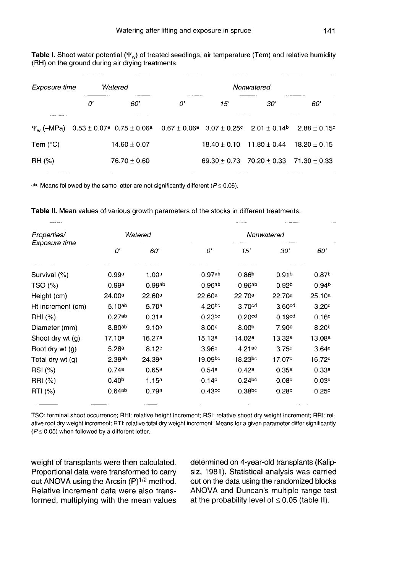Table I. Shoot water potential  $(\Psi_w)$  of treated seedlings, air temperature (Tem) and relative humidity (RH) on the ground during air drying treatments.

|                                                                                                                                                                                                                                 |         |                  |                |             |                                                    | $\sim$ $ -$ |  |  |
|---------------------------------------------------------------------------------------------------------------------------------------------------------------------------------------------------------------------------------|---------|------------------|----------------|-------------|----------------------------------------------------|-------------|--|--|
| Exposure time                                                                                                                                                                                                                   | Watered |                  | Nonwatered     |             |                                                    |             |  |  |
|                                                                                                                                                                                                                                 | 0'      | 60'              | 0'             | 15'         | 30'                                                | 60'         |  |  |
| a company company of the<br>$\Psi_{\rm w}$ (-MPa) $0.53 \pm 0.07$ <sup>a</sup> $0.75 \pm 0.06$ <sup>a</sup> $0.67 \pm 0.06$ <sup>a</sup> $3.07 \pm 0.25$ <sup>c</sup> $2.01 \pm 0.14$ <sup>b</sup> $2.88 \pm 0.15$ <sup>c</sup> |         |                  |                |             |                                                    |             |  |  |
| Tem $(^{\circ}C)$                                                                                                                                                                                                               |         | $14.60 \pm 0.07$ |                |             | $18.40 \pm 0.10$ $11.80 \pm 0.44$ $18.20 \pm 0.15$ |             |  |  |
| RH (%)                                                                                                                                                                                                                          |         | $76.70 \pm 0.60$ |                |             | $69.30 \pm 0.73$ $70.20 \pm 0.33$ $71.30 \pm 0.33$ |             |  |  |
|                                                                                                                                                                                                                                 |         |                  | <b>Service</b> | $1.1 - 1.1$ |                                                    |             |  |  |

abc Means followed by the same letter are not significantly different ( $P \le 0.05$ ).

Table II. Mean values of various growth parameters of the stocks in different treatments.

| -----             |                    |                   |                    |                    |                    |                    |  |
|-------------------|--------------------|-------------------|--------------------|--------------------|--------------------|--------------------|--|
| Properties/       |                    | Watered           | Nonwatered         |                    |                    |                    |  |
| Exposure time     | 0'                 | 60'               | 0'                 | 15'                | 30'                | 60'                |  |
| Survival (%)      | 0.99a              | 1.00a             | 0.97 <sub>ab</sub> | 0.86 <sup>b</sup>  | 0.91 <sup>b</sup>  | 0.87 <sup>b</sup>  |  |
| TSO (%)           | 0.99a              | 0.99ab            | 0.96ab             | 0.96 <sup>ab</sup> | 0.92 <sub>b</sub>  | 0.94 <sup>b</sup>  |  |
| Height (cm)       | 24.00a             | 22.60a            | 22.60ª             | 22.70a             | 22.70a             | 25.10a             |  |
| Ht increment (cm) | $5.10^{ab}$        | 5.70a             | 4.20 <sub>pc</sub> | 3.70 <sub>cd</sub> | 3.60 <sub>cd</sub> | 3.20 <sup>d</sup>  |  |
| RHI (%)           | 0.27ab             | 0.31a             | 0.23 <sub>pc</sub> | 0.20 <sub>cd</sub> | 0.19 <sup>cd</sup> | 0.16 <sup>d</sup>  |  |
| Diameter (mm)     | 8.80ab             | 9.10a             | 8.00 <sup>b</sup>  | 8.00 <sup>b</sup>  | 7.90 <sup>b</sup>  | 8.20 <sup>b</sup>  |  |
| Shoot dry wt (g)  | 17.10 <sup>a</sup> | 16.27a            | 15.13a             | 14.02 <sup>a</sup> | 13.32a             | 13.08a             |  |
| Root dry wt (g)   | 5.28 <sup>a</sup>  | 8.12 <sup>b</sup> | 3.96c              | 4.21ac             | 3.75c              | 3.64c              |  |
| Total dry wt (g)  | 2.38ab             | 24.39a            | 19.09bc            | $18.23^{bc}$       | 17.07 <sup>c</sup> | 16.72 <sup>c</sup> |  |
| RSI (%)           | 0.74a              | 0.65a             | 0.54a              | 0.42a              | 0.35a              | 0.33a              |  |
| RRI (%)           | 0.40 <sup>b</sup>  | 1.15a             | 0.14c              | $0.24$ bc          | 0.08 <sub>c</sub>  | 0.03c              |  |
| RTI (%)           | 0.64ab             | 0.79a             | $0.43$ bc          | 0.38 <sub>bc</sub> | 0.28c              | 0.25c              |  |

TSO: terminal shoot occurrence; RHI: relative height increment; RSI: relative shoot dry weight increment; RRI: relative root dry weight increment; RTI: relative total dry weight increment. Means for a given parameter differ significantly  $(P \le 0.05)$  when followed by a different letter.

weight of transplants were then calculated. Proportional data were transformed to carry out ANOVA using the Arcsin  $(P)^{1/2}$  method. Relative increment data were also transformed, multiplying with the mean values

determined on 4-year-old transplants (Kalipsiz, 1981). Statistical analysis was carried out on the data using the randomized blocks ANOVA and Duncan's multiple range test at the probability level of  $\leq 0.05$  (table II).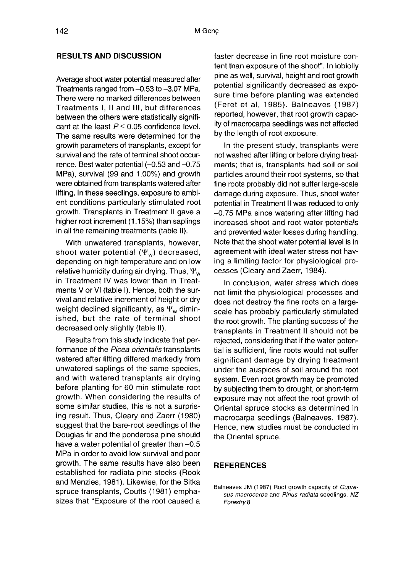#### RESULTS AND DISCUSSION

Average shoot water potential measured after Treatments ranged from -0.53 to -3.07 MPa. There were no marked differences between Treatments I, II and III, but differences between the others were statistically significant at the least  $P \le 0.05$  confidence level. The same results were determined for the growth parameters of transplants, except for survival and the rate of terminal shoot occurrence. Best water potential  $(-0.53$  and  $-0.75$ MPa), survival (99 and 1.00%) and growth were obtained from transplants watered after lifting. In these seedlings, exposure to ambient conditions particularly stimulated root growth. Transplants in Treatment II gave a higher root increment (1.15%) than saplings in all the remaining treatments (table II).

With unwatered transplants, however, shoot water potential  $(\Psi_w)$  decreased, depending on high temperature and on low relative humidity during air drying. Thus,  $\Psi_w$ in Treatment IV was lower than in Treatments V or VI (table I). Hence, both the survival and relative increment of height or dry weight declined significantly, as  $\Psi_w$  diminished, but the rate of terminal shoot decreased only slightly (table II).

Results from this study indicate that performance of the Picea orientalis transplants watered after lifting differed markedly from unwatered saplings of the same species, and with watered transplants air drying before planting for 60 min stimulate root growth. When considering the results of some similar studies, this is not a surprising result. Thus, Cleary and Zaerr (1980) suggest that the bare-root seedlings of the Douglas fir and the ponderosa pine should have a water potential of greater than  $-0.5$ MPa in order to avoid low survival and poor growth. The same results have also been established for radiata pine stocks (Rook and Menzies, 1981). Likewise, for the Sitka spruce transplants, Coutts (1981) emphasizes that "Exposure of the root caused a

faster decrease in fine root moisture content than exposure of the shoot". In loblolly pine as well, survival, height and root growth potential significantly decreased as exposure time before planting was extended (Feret et al, 1985). Balneaves (1987) reported, however, that root growth capacity of macrocarpa seedlings was not affected by the length of root exposure.

In the present study, transplants were not washed after lifting or before drying treatments; that is, transplants had soil or soil particles around their root systems, so that fine roots probably did not suffer large-scale damage during exposure. Thus, shoot water potential in Treatment II was reduced to only -0.75 MPa since watering after lifting had increased shoot and root water potentials and prevented water losses during handling. Note that the shoot water potential level is in agreement with ideal water stress not having a limiting factor for physiological processes (Cleary and Zaerr, 1984).

In conclusion, water stress which does not limit the physiological processes and does not destroy the fine roots on a largescale has probably particularly stimulated the root growth. The planting success of the transplants in Treatment II should not be rejected, considering that if the water potential is sufficient, fine roots would not suffer significant damage by drying treatment under the auspices of soil around the root system. Even root growth may be promoted by subjecting them to drought, or short-term exposure may not affect the root growth of Oriental spruce stocks as determined in macrocarpa seedlings (Balneaves, 1987). Hence, new studies must be conducted in the Oriental spruce.

## REFERENCES

Balneaves JM (1987) Root growth capacity of Cupre- sus macrocarpa and Pinus radiata seedlings. NZ Forestry 8